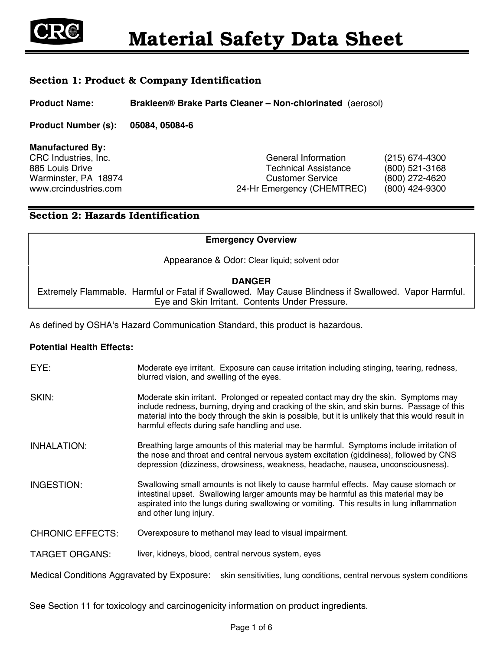

# Section 1: Product & Company Identification

**Product Name: Brakleen® Brake Parts Cleaner – Non-chlorinated** (aerosol)

**Product Number (s): 05084, 05084-6**

| General Information         | $(215)$ 674-4300 |
|-----------------------------|------------------|
| <b>Technical Assistance</b> | $(800)$ 521-3168 |
| <b>Customer Service</b>     | (800) 272-4620   |
| 24-Hr Emergency (CHEMTREC)  | (800) 424-9300   |
|                             |                  |

# Section 2: Hazards Identification

#### **Emergency Overview**

Appearance & Odor: Clear liquid; solvent odor

#### **DANGER**

Extremely Flammable. Harmful or Fatal if Swallowed. May Cause Blindness if Swallowed. Vapor Harmful. Eye and Skin Irritant. Contents Under Pressure.

As defined by OSHA's Hazard Communication Standard, this product is hazardous.

#### **Potential Health Effects:**

EYE: Moderate eye irritant. Exposure can cause irritation including stinging, tearing, redness, blurred vision, and swelling of the eyes. SKIN: Moderate skin irritant. Prolonged or repeated contact may dry the skin. Symptoms may include redness, burning, drying and cracking of the skin, and skin burns. Passage of this material into the body through the skin is possible, but it is unlikely that this would result in harmful effects during safe handling and use. INHALATION: Breathing large amounts of this material may be harmful. Symptoms include irritation of the nose and throat and central nervous system excitation (giddiness), followed by CNS depression (dizziness, drowsiness, weakness, headache, nausea, unconsciousness). INGESTION: Swallowing small amounts is not likely to cause harmful effects. May cause stomach or intestinal upset. Swallowing larger amounts may be harmful as this material may be aspirated into the lungs during swallowing or vomiting. This results in lung inflammation and other lung injury. CHRONIC EFFECTS: Overexposure to methanol may lead to visual impairment. TARGET ORGANS: liver, kidneys, blood, central nervous system, eyes

Medical Conditions Aggravated by Exposure: skin sensitivities, lung conditions, central nervous system conditions

See Section 11 for toxicology and carcinogenicity information on product ingredients.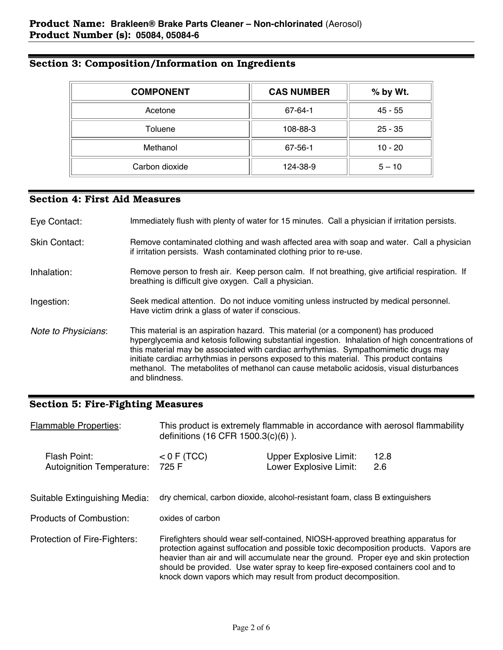| <b>COMPONENT</b> | <b>CAS NUMBER</b> | % by Wt.  |
|------------------|-------------------|-----------|
| Acetone          | 67-64-1           | 45 - 55   |
| Toluene          | 108-88-3          | $25 - 35$ |
| Methanol         | 67-56-1           | $10 - 20$ |
| Carbon dioxide   | 124-38-9          | $5 - 10$  |

# Section 3: Composition/Information on Ingredients

# Section 4: First Aid Measures

| Eye Contact:         | Immediately flush with plenty of water for 15 minutes. Call a physician if irritation persists.                                                                                                                                                                                                                                                                                                                                                                                      |
|----------------------|--------------------------------------------------------------------------------------------------------------------------------------------------------------------------------------------------------------------------------------------------------------------------------------------------------------------------------------------------------------------------------------------------------------------------------------------------------------------------------------|
| <b>Skin Contact:</b> | Remove contaminated clothing and wash affected area with soap and water. Call a physician<br>if irritation persists. Wash contaminated clothing prior to re-use.                                                                                                                                                                                                                                                                                                                     |
| Inhalation:          | Remove person to fresh air. Keep person calm. If not breathing, give artificial respiration. If<br>breathing is difficult give oxygen. Call a physician.                                                                                                                                                                                                                                                                                                                             |
| Ingestion:           | Seek medical attention. Do not induce vomiting unless instructed by medical personnel.<br>Have victim drink a glass of water if conscious.                                                                                                                                                                                                                                                                                                                                           |
| Note to Physicians:  | This material is an aspiration hazard. This material (or a component) has produced<br>hyperglycemia and ketosis following substantial ingestion. Inhalation of high concentrations of<br>this material may be associated with cardiac arrhythmias. Sympathomimetic drugs may<br>initiate cardiac arrhythmias in persons exposed to this material. This product contains<br>methanol. The metabolites of methanol can cause metabolic acidosis, visual disturbances<br>and blindness. |

# Section 5: Fire-Fighting Measures

| <b>Flammable Properties:</b>                    | This product is extremely flammable in accordance with aerosol flammability<br>definitions (16 CFR 1500.3(c)(6)).                                                                                                                                                                                                                                                                                                    |                                                                             |             |  |
|-------------------------------------------------|----------------------------------------------------------------------------------------------------------------------------------------------------------------------------------------------------------------------------------------------------------------------------------------------------------------------------------------------------------------------------------------------------------------------|-----------------------------------------------------------------------------|-------------|--|
| Flash Point:<br>Autoignition Temperature: 725 F | $<$ 0 F (TCC)                                                                                                                                                                                                                                                                                                                                                                                                        | <b>Upper Explosive Limit:</b><br>Lower Explosive Limit:                     | 12.8<br>2.6 |  |
| Suitable Extinguishing Media:                   |                                                                                                                                                                                                                                                                                                                                                                                                                      | dry chemical, carbon dioxide, alcohol-resistant foam, class B extinguishers |             |  |
| Products of Combustion:                         | oxides of carbon                                                                                                                                                                                                                                                                                                                                                                                                     |                                                                             |             |  |
| Protection of Fire-Fighters:                    | Firefighters should wear self-contained, NIOSH-approved breathing apparatus for<br>protection against suffocation and possible toxic decomposition products. Vapors are<br>heavier than air and will accumulate near the ground. Proper eye and skin protection<br>should be provided. Use water spray to keep fire-exposed containers cool and to<br>knock down vapors which may result from product decomposition. |                                                                             |             |  |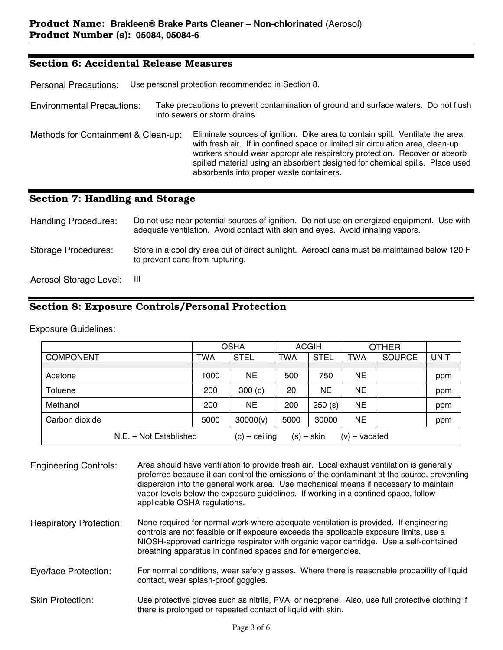## Section 6: Accidental Release Measures

Personal Precautions: Use personal protection recommended in Section 8.

Environmental Precautions: Take precautions to prevent contamination of ground and surface waters. Do not flush into sewers or storm drains.

Methods for Containment & Clean-up: Eliminate sources of ignition. Dike area to contain spill. Ventilate the area with fresh air. If in confined space or limited air circulation area, clean-up workers should wear appropriate respiratory protection. Recover or absorb spilled material using an absorbent designed for chemical spills. Place used absorbents into proper waste containers.

## Section 7: Handling and Storage

| <b>Handling Procedures:</b> | Do not use near potential sources of ignition. Do not use on energized equipment. Use with<br>adequate ventilation. Avoid contact with skin and eyes. Avoid inhaling vapors. |
|-----------------------------|------------------------------------------------------------------------------------------------------------------------------------------------------------------------------|
| <b>Storage Procedures:</b>  | Store in a cool dry area out of direct sunlight. Aerosol cans must be maintained below 120 F<br>to prevent cans from rupturing.                                              |
| Aerosol Storage Level: III  |                                                                                                                                                                              |

## Section 8: Exposure Controls/Personal Protection

Exposure Guidelines:

|                        | <b>OSHA</b> |                 | <b>ACGIH</b> |              | <b>OTHER</b>    |               |             |
|------------------------|-------------|-----------------|--------------|--------------|-----------------|---------------|-------------|
| <b>COMPONENT</b>       | <b>TWA</b>  | <b>STEL</b>     | <b>TWA</b>   | <b>STEL</b>  | TWA             | <b>SOURCE</b> | <b>UNIT</b> |
|                        |             |                 |              |              |                 |               |             |
| Acetone                | 1000        | NE.             | 500          | 750          | <b>NE</b>       |               | ppm         |
| Toluene                | 200         | 300(c)          | 20           | <b>NE</b>    | <b>NE</b>       |               | ppm         |
| Methanol               | 200         | NE.             | 200          | 250(s)       | <b>NE</b>       |               | ppm         |
| Carbon dioxide         | 5000        | 30000(v)        | 5000         | 30000        | <b>NE</b>       |               | ppm         |
| N.E. - Not Established |             | $(c)$ – ceiling |              | $(s) -$ skin | $(v)$ – vacated |               |             |

Engineering Controls: Area should have ventilation to provide fresh air. Local exhaust ventilation is generally preferred because it can control the emissions of the contaminant at the source, preventing dispersion into the general work area. Use mechanical means if necessary to maintain vapor levels below the exposure guidelines. If working in a confined space, follow applicable OSHA regulations. Respiratory Protection: None required for normal work where adequate ventilation is provided. If engineering controls are not feasible or if exposure exceeds the applicable exposure limits, use a NIOSH-approved cartridge respirator with organic vapor cartridge. Use a self-contained

Eye/face Protection: For normal conditions, wear safety glasses. Where there is reasonable probability of liquid contact, wear splash-proof goggles.

breathing apparatus in confined spaces and for emergencies.

Skin Protection: Use protective gloves such as nitrile, PVA, or neoprene. Also, use full protective clothing if there is prolonged or repeated contact of liquid with skin.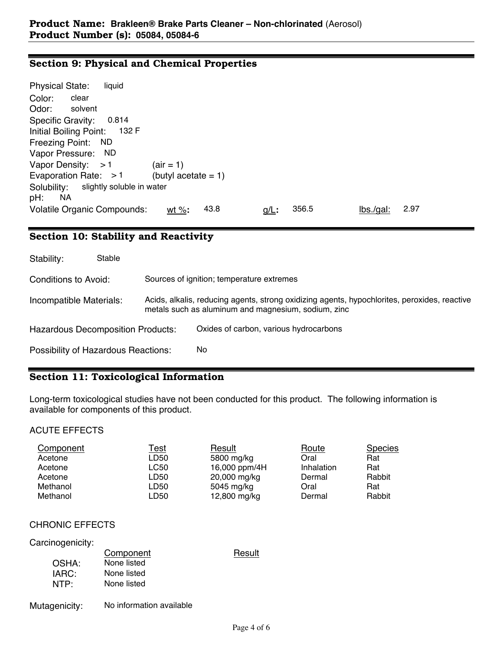## Section 9: Physical and Chemical Properties

| <b>Physical State:</b><br>liquid                                                                 |  |
|--------------------------------------------------------------------------------------------------|--|
| clear<br>Color:                                                                                  |  |
| Odor:<br>solvent                                                                                 |  |
| 0.814<br>Specific Gravity:                                                                       |  |
| 132 F<br>Initial Boiling Point:                                                                  |  |
| Freezing Point: ND                                                                               |  |
| Vapor Pressure: ND                                                                               |  |
| Vapor Density: $>1$<br>$\text{(air = 1)}$                                                        |  |
| Evaporation Rate: $>1$<br>(butyl acetate $= 1$ )                                                 |  |
| slightly soluble in water<br>Solubility:                                                         |  |
| ΝA<br>pH:                                                                                        |  |
| <b>Volatile Organic Compounds:</b><br>356.5<br>2.97<br>43.8<br>lbs/gal:<br>wt %:<br><u>g/L</u> : |  |

# Section 10: Stability and Reactivity

| Stability:                                 | Stable |                                                                                                                                                     |
|--------------------------------------------|--------|-----------------------------------------------------------------------------------------------------------------------------------------------------|
| Conditions to Avoid:                       |        | Sources of ignition; temperature extremes                                                                                                           |
| Incompatible Materials:                    |        | Acids, alkalis, reducing agents, strong oxidizing agents, hypochlorites, peroxides, reactive<br>metals such as aluminum and magnesium, sodium, zinc |
| <b>Hazardous Decomposition Products:</b>   |        | Oxides of carbon, various hydrocarbons                                                                                                              |
| <b>Possibility of Hazardous Reactions:</b> |        | No                                                                                                                                                  |

# Section 11: Toxicological Information

Long-term toxicological studies have not been conducted for this product. The following information is available for components of this product.

#### ACUTE EFFECTS

| Component | <u>Test</u> | Result        | Route      | <b>Species</b> |
|-----------|-------------|---------------|------------|----------------|
| Acetone   | LD50        | 5800 mg/kg    | Oral       | Rat            |
| Acetone   | LC50        | 16,000 ppm/4H | Inhalation | Rat            |
| Acetone   | LD50        | 20,000 mg/kg  | Dermal     | Rabbit         |
| Methanol  | LD50        | 5045 mg/kg    | Oral       | Rat            |
| Methanol  | LD50        | 12,800 mg/kg  | Dermal     | Rabbit         |

## CHRONIC EFFECTS

#### Carcinogenicity:

|                  | Component   | Result |
|------------------|-------------|--------|
| OSHA:            | None listed |        |
| IARC:            | None listed |        |
| NTP <sup>.</sup> | None listed |        |
|                  |             |        |

## Mutagenicity: No information available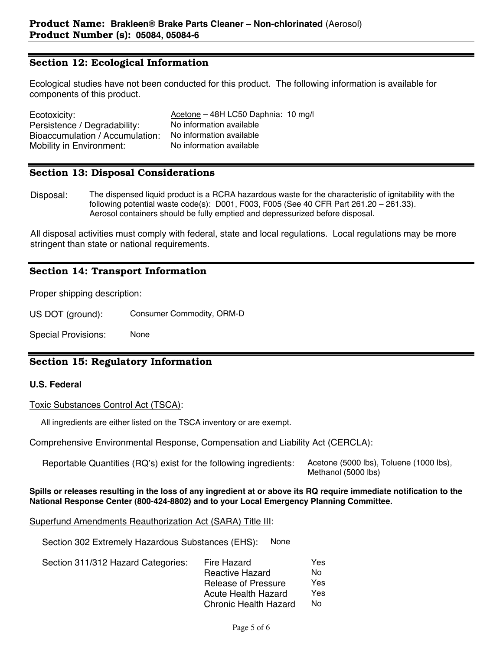## Section 12: Ecological Information

Ecological studies have not been conducted for this product. The following information is available for components of this product.

| Ecotoxicity:                    | Acetone – 48H LC50 Daphnia: 10 mg/l |
|---------------------------------|-------------------------------------|
| Persistence / Degradability:    | No information available            |
| Bioaccumulation / Accumulation: | No information available            |
| Mobility in Environment:        | No information available            |

#### Section 13: Disposal Considerations

Disposal: The dispensed liquid product is a RCRA hazardous waste for the characteristic of ignitability with the following potential waste code(s): D001, F003, F005 (See 40 CFR Part 261.20 – 261.33). Aerosol containers should be fully emptied and depressurized before disposal.

All disposal activities must comply with federal, state and local regulations. Local regulations may be more stringent than state or national requirements.

## Section 14: Transport Information

Proper shipping description:

US DOT (ground): Consumer Commodity, ORM-D

Special Provisions: None

## Section 15: Regulatory Information

#### **U.S. Federal**

Toxic Substances Control Act (TSCA):

All ingredients are either listed on the TSCA inventory or are exempt.

#### Comprehensive Environmental Response, Compensation and Liability Act (CERCLA):

Reportable Quantities (RQ's) exist for the following ingredients: Acetone (5000 lbs), Toluene (1000 lbs),

Methanol (5000 lbs)

#### **Spills or releases resulting in the loss of any ingredient at or above its RQ require immediate notification to the National Response Center (800-424-8802) and to your Local Emergency Planning Committee.**

Superfund Amendments Reauthorization Act (SARA) Title III:

Section 302 Extremely Hazardous Substances (EHS): None

| Section 311/312 Hazard Categories: | Fire Hazard                  | Yes |
|------------------------------------|------------------------------|-----|
|                                    | <b>Reactive Hazard</b>       | Nο  |
|                                    | <b>Release of Pressure</b>   | Yes |
|                                    | Acute Health Hazard          | Yes |
|                                    | <b>Chronic Health Hazard</b> | Nο  |